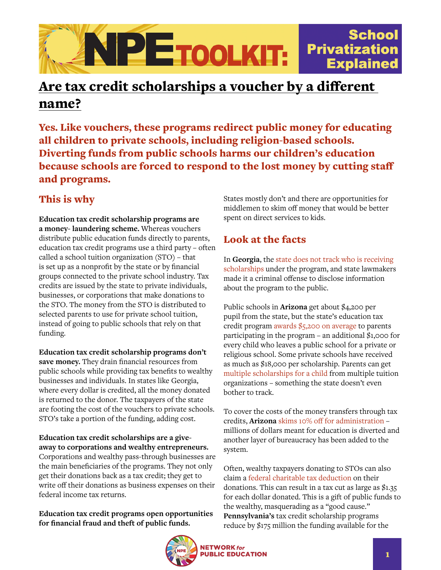

# Are tax credit scholarships a voucher by a different name?

Yes. Like vouchers, these programs redirect public money for educating all children to private schools, including religion-based schools. Diverting funds from public schools harms our children's education because schools are forced to respond to the lost money by cutting staff and programs.

## This is why

**Education tax credit scholarship programs are a money- laundering scheme.** Whereas vouchers distribute public education funds directly to parents, education tax credit programs use a third party – often called a school tuition organization (STO) – that is set up as a nonprofit by the state or by financial groups connected to the private school industry. Tax credits are issued by the state to private individuals, businesses, or corporations that make donations to the STO. The money from the STO is distributed to selected parents to use for private school tuition, instead of going to public schools that rely on that funding.

**Education tax credit scholarship programs don't save money.** They drain financial resources from public schools while providing tax benefits to wealthy businesses and individuals. In states like Georgia, where every dollar is credited, all the money donated is returned to the donor. The taxpayers of the state are footing the cost of the vouchers to private schools. STO's take a portion of the funding, adding cost.

**Education tax credit scholarships are a giveaway to corporations and wealthy entrepreneurs.**  Corporations and wealthy pass-through businesses are the main beneficiaries of the programs. They not only get their donations back as a tax credit; they get to write off their donations as business expenses on their federal income tax returns.

#### **Education tax credit programs open opportunities for financial fraud and theft of public funds.**

States mostly don't and there are opportunities for middlemen to skim off money that would be better spent on direct services to kids.

### Look at the facts

In **Georgia**, the [state does not track who is receiving](https://www.spj.org/news.asp?REF=1101)  [scholarships](https://www.spj.org/news.asp?REF=1101) under the program, and state lawmakers made it a criminal offense to disclose information about the program to the public.

Public schools in **Arizona** get about \$4,200 per pupil from the state, but the state's education tax credit program [awards \\$5,200 on average](https://www.azcentral.com/story/news/arizona/investigations/2015/07/26/private-school-families-arizona-tax-credit-program/30647833/) to parents participating in the program – an additional  $$1,000$  for every child who leaves a public school for a private or religious school. Some private schools have received as much as \$18,000 per scholarship. Parents can get [multiple scholarships for a child](https://www.azcentral.com/story/news/politics/arizona-education/2017/02/17/arizona-school-voucher-expansion-costs/97965256/) from multiple tuition organizations – something the state doesn't even bother to track.

To cover the costs of the money transfers through tax credits, **Arizona** [skims 10% off for administration](https://www.nytimes.com/2017/03/02/upshot/arizona-shows-what-can-go-wrong-with-tax-credit-vouchers.html) – millions of dollars meant for education is diverted and another layer of bureaucracy has been added to the system.

Often, wealthy taxpayers donating to STOs can also claim a [federal charitable tax deduction](https://prospect.org/education/states-turn-k-12-scholarships-money-laundering-schemes/) on their donations. This can result in a tax cut as large as \$1.35 for each dollar donated. This is a gift of public funds to the wealthy, masquerading as a "good cause." **Pennsylvania's** tax credit scholarship programs reduce by \$175 million the funding available for the